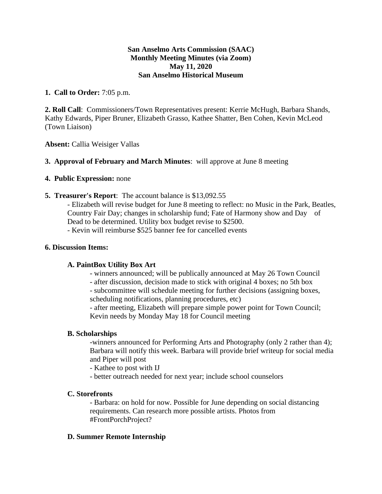## **San Anselmo Arts Commission (SAAC) Monthly Meeting Minutes (via Zoom) May 11, 2020 San Anselmo Historical Museum**

# **1. Call to Order:** 7:05 p.m.

**2. Roll Call**: Commissioners/Town Representatives present: Kerrie McHugh, Barbara Shands, Kathy Edwards, Piper Bruner, Elizabeth Grasso, Kathee Shatter, Ben Cohen, Kevin McLeod (Town Liaison)

**Absent:** Callia Weisiger Vallas

# **3. Approval of February and March Minutes**: will approve at June 8 meeting

# **4. Public Expression:** none

**5. Treasurer's Report**: The account balance is \$13,092.55

- Elizabeth will revise budget for June 8 meeting to reflect: no Music in the Park, Beatles, Country Fair Day; changes in scholarship fund; Fate of Harmony show and Day of Dead to be determined. Utility box budget revise to \$2500.

- Kevin will reimburse \$525 banner fee for cancelled events

## **6. Discussion Items:**

# **A. PaintBox Utility Box Art**

- winners announced; will be publically announced at May 26 Town Council

- after discussion, decision made to stick with original 4 boxes; no 5th box

- subcommittee will schedule meeting for further decisions (assigning boxes, scheduling notifications, planning procedures, etc)

- after meeting, Elizabeth will prepare simple power point for Town Council; Kevin needs by Monday May 18 for Council meeting

#### **B. Scholarships**

-winners announced for Performing Arts and Photography (only 2 rather than 4); Barbara will notify this week. Barbara will provide brief writeup for social media and Piper will post

- Kathee to post with IJ
- better outreach needed for next year; include school counselors

#### **C. Storefronts**

- Barbara: on hold for now. Possible for June depending on social distancing requirements. Can research more possible artists. Photos from #FrontPorchProject?

#### **D. Summer Remote Internship**